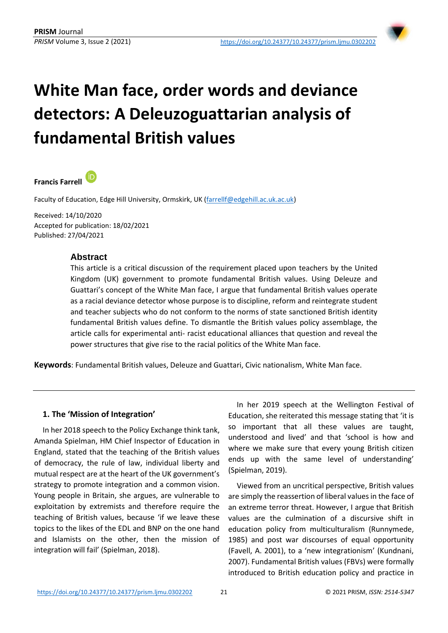

# **White Man face, order words and deviance detectors: A Deleuzoguattarian analysis of fundamental British values**

#### (iD **Francis Farrell**

Faculty of Education, Edge Hill University, Ormskirk, UK [\(farrellf@edgehill.ac.uk.ac.uk\)](mailto:farrellf@edgehill.ac.uk.ac.uk)

Received: 14/10/2020 Accepted for publication: 18/02/2021 Published: 27/04/2021

### **Abstract**

This article is a critical discussion of the requirement placed upon teachers by the United Kingdom (UK) government to promote fundamental British values. Using Deleuze and Guattari's concept of the White Man face, I argue that fundamental British values operate as a racial deviance detector whose purpose is to discipline, reform and reintegrate student and teacher subjects who do not conform to the norms of state sanctioned British identity fundamental British values define. To dismantle the British values policy assemblage, the article calls for experimental anti- racist educational alliances that question and reveal the power structures that give rise to the racial politics of the White Man face.

**Keywords**: Fundamental British values, Deleuze and Guattari, Civic nationalism, White Man face.

#### **1. The 'Mission of Integration'**

In her 2018 speech to the Policy Exchange think tank, Amanda Spielman, HM Chief Inspector of Education in England, stated that the teaching of the British values of democracy, the rule of law, individual liberty and mutual respect are at the heart of the UK government's strategy to promote integration and a common vision. Young people in Britain, she argues, are vulnerable to exploitation by extremists and therefore require the teaching of British values, because 'if we leave these topics to the likes of the EDL and BNP on the one hand and Islamists on the other, then the mission of integration will fail' (Spielman, 2018).

In her 2019 speech at the Wellington Festival of Education, she reiterated this message stating that 'it is so important that all these values are taught, understood and lived' and that 'school is how and where we make sure that every young British citizen ends up with the same level of understanding' (Spielman, 2019).

Viewed from an uncritical perspective, British values are simply the reassertion of liberal values in the face of an extreme terror threat. However, I argue that British values are the culmination of a discursive shift in education policy from multiculturalism (Runnymede, 1985) and post war discourses of equal opportunity (Favell, A. 2001), to a 'new integrationism' (Kundnani, 2007). Fundamental British values (FBVs) were formally introduced to British education policy and practice in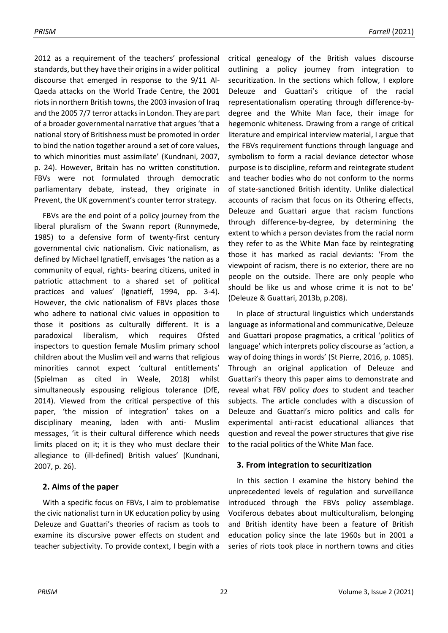2012 as a requirement of the teachers' professional standards, but they have their origins in a wider political discourse that emerged in response to the 9/11 Al-Qaeda attacks on the World Trade Centre, the 2001 riots in northern British towns, the 2003 invasion of Iraq and the 2005 7/7 terror attacks in London. They are part of a broader governmental narrative that argues 'that a national story of Britishness must be promoted in order to bind the nation together around a set of core values, to which minorities must assimilate' (Kundnani, 2007, p. 24). However, Britain has no written constitution. FBVs were not formulated through democratic parliamentary debate, instead, they originate in Prevent, the UK government's counter terror strategy.

FBVs are the end point of a policy journey from the liberal pluralism of the Swann report (Runnymede, 1985) to a defensive form of twenty-first century governmental civic nationalism. Civic nationalism, as defined by Michael Ignatieff, envisages 'the nation as a community of equal, rights- bearing citizens, united in patriotic attachment to a shared set of political practices and values' (Ignatieff, 1994, pp. 3-4). However, the civic nationalism of FBVs places those who adhere to national civic values in opposition to those it positions as culturally different. It is a paradoxical liberalism, which requires Ofsted inspectors to question female Muslim primary school children about the Muslim veil and warns that religious minorities cannot expect 'cultural entitlements' (Spielman as cited in Weale, 2018) whilst simultaneously espousing religious tolerance (DfE, 2014). Viewed from the critical perspective of this paper, 'the mission of integration' takes on a disciplinary meaning, laden with anti- Muslim messages, 'it is their cultural difference which needs limits placed on it; it is they who must declare their allegiance to (ill-defined) British values' (Kundnani, 2007, p. 26).

# **2. Aims of the paper**

With a specific focus on FBVs, I aim to problematise the civic nationalist turn in UK education policy by using Deleuze and Guattari's theories of racism as tools to examine its discursive power effects on student and teacher subjectivity. To provide context, I begin with a

critical genealogy of the British values discourse outlining a policy journey from integration to securitization. In the sections which follow, I explore Deleuze and Guattari's critique of the racial representationalism operating through difference-bydegree and the White Man face, their image for hegemonic whiteness. Drawing from a range of critical literature and empirical interview material, I argue that the FBVs requirement functions through language and symbolism to form a racial deviance detector whose purpose is to discipline, reform and reintegrate student and teacher bodies who do not conform to the norms of state-sanctioned British identity. Unlike dialectical accounts of racism that focus on its Othering effects, Deleuze and Guattari argue that racism functions through difference-by-degree, by determining the extent to which a person deviates from the racial norm they refer to as the White Man face by reintegrating those it has marked as racial deviants: 'From the viewpoint of racism, there is no exterior, there are no people on the outside. There are only people who should be like us and whose crime it is not to be' (Deleuze & Guattari, 2013b, p.208).

In place of structural linguistics which understands language as informational and communicative, Deleuze and Guattari propose pragmatics, a critical 'politics of language' which interprets policy discourse as 'action, a way of doing things in words' (St Pierre, 2016, p. 1085). Through an original application of Deleuze and Guattari's theory this paper aims to demonstrate and reveal what FBV policy *does* to student and teacher subjects. The article concludes with a discussion of Deleuze and Guattari's micro politics and calls for experimental anti-racist educational alliances that question and reveal the power structures that give rise to the racial politics of the White Man face.

# **3. From integration to securitization**

In this section I examine the history behind the unprecedented levels of regulation and surveillance introduced through the FBVs policy assemblage. Vociferous debates about multiculturalism, belonging and British identity have been a feature of British education policy since the late 1960s but in 2001 a series of riots took place in northern towns and cities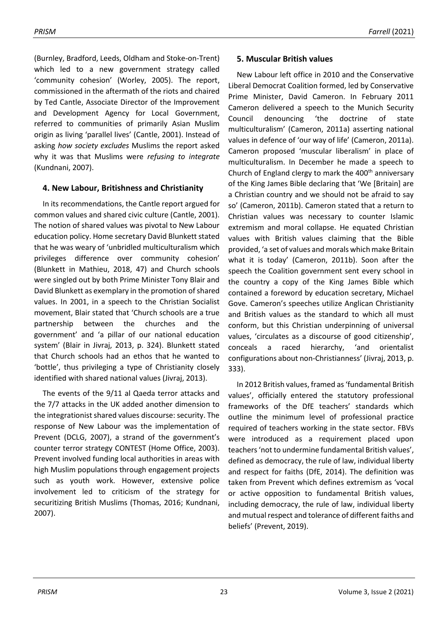(Burnley, Bradford, Leeds, Oldham and Stoke-on-Trent) which led to a new government strategy called 'community cohesion' (Worley, 2005). The report, commissioned in the aftermath of the riots and chaired by Ted Cantle, Associate Director of the Improvement and Development Agency for Local Government, referred to communities of primarily Asian Muslim origin as living 'parallel lives' (Cantle, 2001). Instead of asking *how society excludes* Muslims the report asked why it was that Muslims were *refusing to integrate* (Kundnani, 2007).

# **4. New Labour, Britishness and Christianity**

In its recommendations, the Cantle report argued for common values and shared civic culture (Cantle, 2001). The notion of shared values was pivotal to New Labour education policy. Home secretary David Blunkett stated that he was weary of 'unbridled multiculturalism which privileges difference over community cohesion' (Blunkett in Mathieu, 2018, 47) and Church schools were singled out by both Prime Minister Tony Blair and David Blunkett as exemplary in the promotion of shared values. In 2001, in a speech to the Christian Socialist movement, Blair stated that 'Church schools are a true partnership between the churches and the government' and 'a pillar of our national education system' (Blair in Jivraj, 2013, p. 324). Blunkett stated that Church schools had an ethos that he wanted to 'bottle', thus privileging a type of Christianity closely identified with shared national values (Jivraj, 2013).

The events of the 9/11 al Qaeda terror attacks and the 7/7 attacks in the UK added another dimension to the integrationist shared values discourse: security. The response of New Labour was the implementation of Prevent (DCLG, 2007), a strand of the government's counter terror strategy CONTEST (Home Office, 2003). Prevent involved funding local authorities in areas with high Muslim populations through engagement projects such as youth work. However, extensive police involvement led to criticism of the strategy for securitizing British Muslims (Thomas, 2016; Kundnani, 2007).

# **5. Muscular British values**

New Labour left office in 2010 and the Conservative Liberal Democrat Coalition formed, led by Conservative Prime Minister, David Cameron. In February 2011 Cameron delivered a speech to the Munich Security Council denouncing 'the doctrine of state multiculturalism' (Cameron, 2011a) asserting national values in defence of 'our way of life' (Cameron, 2011a). Cameron proposed 'muscular liberalism' in place of multiculturalism. In December he made a speech to Church of England clergy to mark the  $400<sup>th</sup>$  anniversary of the King James Bible declaring that 'We [Britain] are a Christian country and we should not be afraid to say so' (Cameron, 2011b). Cameron stated that a return to Christian values was necessary to counter Islamic extremism and moral collapse. He equated Christian values with British values claiming that the Bible provided, 'a set of values and morals which make Britain what it is today' (Cameron, 2011b). Soon after the speech the Coalition government sent every school in the country a copy of the King James Bible which contained a foreword by education secretary, Michael Gove. Cameron's speeches utilize Anglican Christianity and British values as the standard to which all must conform, but this Christian underpinning of universal values, 'circulates as a discourse of good citizenship', conceals a raced hierarchy, 'and orientalist configurations about non-Christianness' (Jivraj, 2013, p. 333).

In 2012 British values, framed as 'fundamental British values', officially entered the statutory professional frameworks of the DfE teachers' standards which outline the minimum level of professional practice required of teachers working in the state sector. FBVs were introduced as a requirement placed upon teachers 'not to undermine fundamental British values', defined as democracy, the rule of law, individual liberty and respect for faiths (DfE, 2014). The definition was taken from Prevent which defines extremism as 'vocal or active opposition to fundamental British values, including democracy, the rule of law, individual liberty and mutual respect and tolerance of different faiths and beliefs' (Prevent, 2019).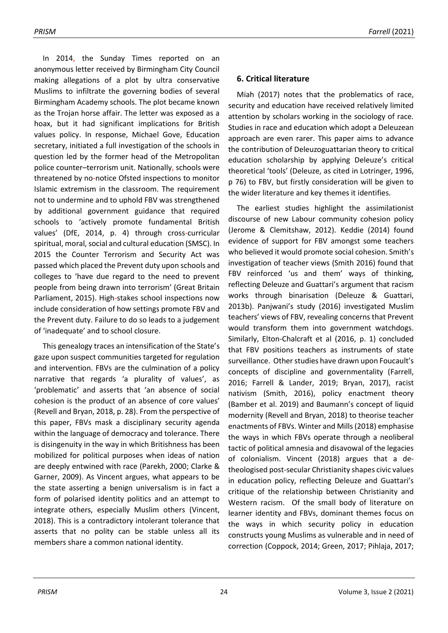In 2014, the Sunday Times reported on an anonymous letter received by Birmingham City Council making allegations of a plot by ultra conservative Muslims to infiltrate the governing bodies of several Birmingham Academy schools. The plot became known as the Trojan horse affair. The letter was exposed as a hoax, but it had significant implications for British values policy. In response, Michael Gove, Education secretary, initiated a full investigation of the schools in question led by the former head of the Metropolitan police counter–terrorism unit. Nationally, schools were threatened by no-notice Ofsted inspections to monitor Islamic extremism in the classroom. The requirement not to undermine and to uphold FBV was strengthened by additional government guidance that required schools to 'actively promote fundamental British values' (DfE, 2014, p. 4) through cross-curricular spiritual, moral, social and cultural education (SMSC). In 2015 the Counter Terrorism and Security Act was passed which placed the Prevent duty upon schools and colleges to 'have due regard to the need to prevent people from being drawn into terrorism' (Great Britain Parliament, 2015). High-stakes school inspections now include consideration of how settings promote FBV and the Prevent duty. Failure to do so leads to a judgement of 'inadequate' and to school closure.

This genealogy traces an intensification of the State's gaze upon suspect communities targeted for regulation and intervention. FBVs are the culmination of a policy narrative that regards 'a plurality of values', as 'problematic' and asserts that 'an absence of social cohesion is the product of an absence of core values' (Revell and Bryan, 2018, p. 28). From the perspective of this paper, FBVs mask a disciplinary security agenda within the language of democracy and tolerance. There is disingenuity in the way in which Britishness has been mobilized for political purposes when ideas of nation are deeply entwined with race (Parekh, 2000; Clarke & Garner, 2009). As Vincent argues, what appears to be the state asserting a benign universalism is in fact a form of polarised identity politics and an attempt to integrate others, especially Muslim others (Vincent, 2018). This is a contradictory intolerant tolerance that asserts that no polity can be stable unless all its members share a common national identity.

### **6. Critical literature**

Miah (2017) notes that the problematics of race, security and education have received relatively limited attention by scholars working in the sociology of race. Studies in race and education which adopt a Deleuzean approach are even rarer. This paper aims to advance the contribution of Deleuzoguattarian theory to critical education scholarship by applying Deleuze's critical theoretical 'tools' (Deleuze, as cited in Lotringer, 1996, p 76) to FBV, but firstly consideration will be given to the wider literature and key themes it identifies.

The earliest studies highlight the assimilationist discourse of new Labour community cohesion policy (Jerome & Clemitshaw, 2012). Keddie (2014) found evidence of support for FBV amongst some teachers who believed it would promote social cohesion. Smith's investigation of teacher views (Smith 2016) found that FBV reinforced 'us and them' ways of thinking, reflecting Deleuze and Guattari's argument that racism works through binarisation (Deleuze & Guattari, 2013b). Panjwani's study (2016) investigated Muslim teachers' views of FBV, revealing concerns that Prevent would transform them into government watchdogs. Similarly, Elton-Chalcraft et al (2016, p. 1) concluded that FBV positions teachers as instruments of state surveillance. Other studies have drawn upon Foucault's concepts of discipline and governmentality (Farrell, 2016; Farrell & Lander, 2019; Bryan, 2017), racist nativism (Smith, 2016), policy enactment theory (Bamber et al. 2019) and Baumann's concept of liquid modernity (Revell and Bryan, 2018) to theorise teacher enactments of FBVs. Winter and Mills (2018) emphasise the ways in which FBVs operate through a neoliberal tactic of political amnesia and disavowal of the legacies of colonialism. Vincent (2018) argues that a detheologised post-secular Christianity shapes civic values in education policy, reflecting Deleuze and Guattari's critique of the relationship between Christianity and Western racism. Of the small body of literature on learner identity and FBVs, dominant themes focus on the ways in which security policy in education constructs young Muslims as vulnerable and in need of correction (Coppock, 2014; Green, 2017; Pihlaja, 2017;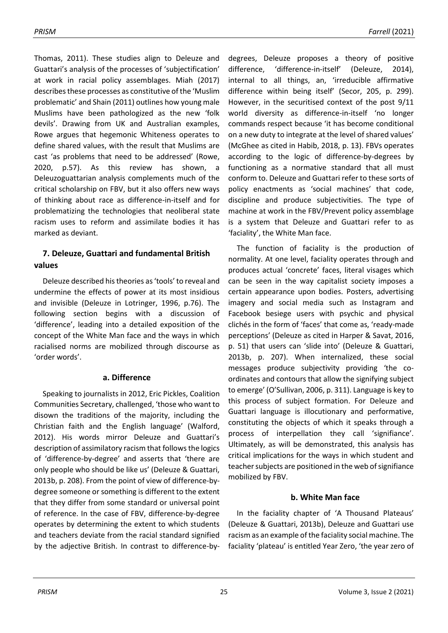Thomas, 2011). These studies align to Deleuze and Guattari's analysis of the processes of 'subjectification' at work in racial policy assemblages. Miah (2017) describes these processes as constitutive of the 'Muslim problematic' and Shain (2011) outlines how young male Muslims have been pathologized as the new 'folk devils'. Drawing from UK and Australian examples, Rowe argues that hegemonic Whiteness operates to define shared values, with the result that Muslims are cast 'as problems that need to be addressed' (Rowe, 2020, p.57). As this review has shown, a Deleuzoguattarian analysis complements much of the critical scholarship on FBV, but it also offers new ways of thinking about race as difference-in-itself and for problematizing the technologies that neoliberal state racism uses to reform and assimilate bodies it has marked as deviant.

# **7. Deleuze, Guattari and fundamental British values**

Deleuze described his theories as 'tools' to reveal and undermine the effects of power at its most insidious and invisible (Deleuze in Lotringer, 1996, p.76). The following section begins with a discussion of 'difference', leading into a detailed exposition of the concept of the White Man face and the ways in which racialised norms are mobilized through discourse as 'order words'.

### **a. Difference**

Speaking to journalists in 2012, Eric Pickles, Coalition Communities Secretary, challenged, 'those who want to disown the traditions of the majority, including the Christian faith and the English language' (Walford, 2012). His words mirror Deleuze and Guattari's description of assimilatory racism that follows the logics of 'difference-by-degree' and asserts that 'there are only people who should be like us' (Deleuze & Guattari, 2013b, p. 208). From the point of view of difference-bydegree someone or something is different to the extent that they differ from some standard or universal point of reference. In the case of FBV, difference-by-degree operates by determining the extent to which students and teachers deviate from the racial standard signified by the adjective British. In contrast to difference-bydegrees, Deleuze proposes a theory of positive difference, 'difference-in-itself' (Deleuze, 2014), internal to all things, an, 'irreducible affirmative difference within being itself' (Secor, 205, p. 299). However, in the securitised context of the post 9/11 world diversity as difference-in-itself 'no longer commands respect because 'it has become conditional on a new duty to integrate at the level of shared values' (McGhee as cited in Habib, 2018, p. 13). FBVs operates according to the logic of difference-by-degrees by functioning as a normative standard that all must conform to. Deleuze and Guattari refer to these sorts of policy enactments as 'social machines' that code, discipline and produce subjectivities. The type of machine at work in the FBV/Prevent policy assemblage is a system that Deleuze and Guattari refer to as 'faciality', the White Man face.

The function of faciality is the production of normality. At one level, faciality operates through and produces actual 'concrete' faces, literal visages which can be seen in the way capitalist society imposes a certain appearance upon bodies. Posters, advertising imagery and social media such as Instagram and Facebook besiege users with psychic and physical clichés in the form of 'faces' that come as, 'ready-made perceptions' (Deleuze as cited in Harper & Savat, 2016, p. 51) that users can 'slide into' (Deleuze & Guattari, 2013b, p. 207). When internalized, these social messages produce subjectivity providing 'the coordinates and contours that allow the signifying subject to emerge' (O'Sullivan, 2006, p. 311). Language is key to this process of subject formation. For Deleuze and Guattari language is illocutionary and performative, constituting the objects of which it speaks through a process of interpellation they call 'signifiance'. Ultimately, as will be demonstrated, this analysis has critical implications for the ways in which student and teacher subjects are positioned in the web of signifiance mobilized by FBV.

### **b. White Man face**

In the faciality chapter of 'A Thousand Plateaus' (Deleuze & Guattari, 2013b), Deleuze and Guattari use racism as an example of the faciality social machine. The faciality 'plateau' is entitled Year Zero, 'the year zero of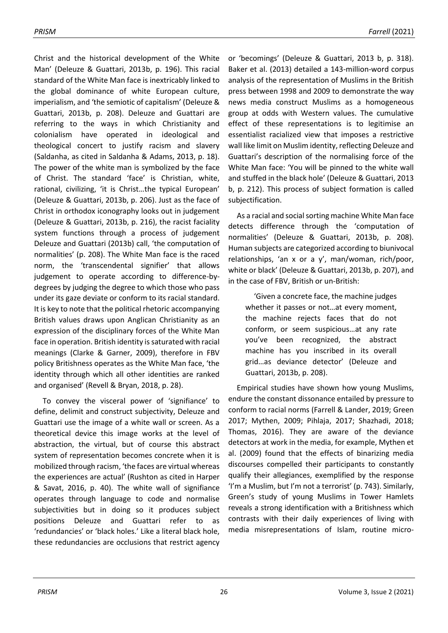Christ and the historical development of the White Man' (Deleuze & Guattari, 2013b, p. 196). This racial standard of the White Man face is inextricably linked to the global dominance of white European culture, imperialism, and 'the semiotic of capitalism' (Deleuze & Guattari, 2013b, p. 208). Deleuze and Guattari are referring to the ways in which Christianity and colonialism have operated in ideological and theological concert to justify racism and slavery (Saldanha, as cited in Saldanha & Adams, 2013, p. 18). The power of the white man is symbolized by the face of Christ. The standard 'face' is Christian, white, rational, civilizing, 'it is Christ…the typical European' (Deleuze & Guattari, 2013b, p. 206). Just as the face of Christ in orthodox iconography looks out in judgement (Deleuze & Guattari, 2013b, p. 216), the racist faciality system functions through a process of judgement Deleuze and Guattari (2013b) call, 'the computation of normalities' (p. 208). The White Man face is the raced norm, the 'transcendental signifier' that allows judgement to operate according to difference-bydegrees by judging the degree to which those who pass under its gaze deviate or conform to its racial standard. It is key to note that the political rhetoric accompanying British values draws upon Anglican Christianity as an expression of the disciplinary forces of the White Man face in operation. British identity is saturated with racial meanings (Clarke & Garner, 2009), therefore in FBV policy Britishness operates as the White Man face, 'the identity through which all other identities are ranked and organised' (Revell & Bryan, 2018, p. 28).

To convey the visceral power of 'signifiance' to define, delimit and construct subjectivity, Deleuze and Guattari use the image of a white wall or screen. As a theoretical device this image works at the level of abstraction, the virtual, but of course this abstract system of representation becomes concrete when it is mobilized through racism, 'the faces are virtual whereas the experiences are actual' (Rushton as cited in Harper & Savat, 2016, p. 40). The white wall of signifiance operates through language to code and normalise subjectivities but in doing so it produces subject positions Deleuze and Guattari refer to as 'redundancies' or 'black holes.' Like a literal black hole, these redundancies are occlusions that restrict agency

or 'becomings' (Deleuze & Guattari, 2013 b, p. 318). Baker et al. (2013) detailed a 143-million-word corpus analysis of the representation of Muslims in the British press between 1998 and 2009 to demonstrate the way news media construct Muslims as a homogeneous group at odds with Western values. The cumulative effect of these representations is to legitimise an essentialist racialized view that imposes a restrictive wall like limit on Muslim identity, reflecting Deleuze and Guattari's description of the normalising force of the White Man face: 'You will be pinned to the white wall and stuffed in the black hole' (Deleuze & Guattari, 2013 b, p. 212). This process of subject formation is called subjectification.

As a racial and social sorting machine White Man face detects difference through the 'computation of normalities' (Deleuze & Guattari, 2013b, p. 208). Human subjects are categorized according to biunivocal relationships, 'an x or a y', man/woman, rich/poor, white or black' (Deleuze & Guattari, 2013b, p. 207), and in the case of FBV, British or un-British:

'Given a concrete face, the machine judges whether it passes or not…at every moment, the machine rejects faces that do not conform, or seem suspicious…at any rate you've been recognized, the abstract machine has you inscribed in its overall grid…as deviance detector' (Deleuze and Guattari, 2013b, p. 208).

Empirical studies have shown how young Muslims, endure the constant dissonance entailed by pressure to conform to racial norms (Farrell & Lander, 2019; Green 2017; Mythen, 2009; Pihlaja, 2017; Shazhadi, 2018; Thomas, 2016). They are aware of the deviance detectors at work in the media, for example, Mythen et al. (2009) found that the effects of binarizing media discourses compelled their participants to constantly qualify their allegiances, exemplified by the response 'I'm a Muslim, but I'm not a terrorist' (p. 743). Similarly, Green's study of young Muslims in Tower Hamlets reveals a strong identification with a Britishness which contrasts with their daily experiences of living with media misrepresentations of Islam, routine micro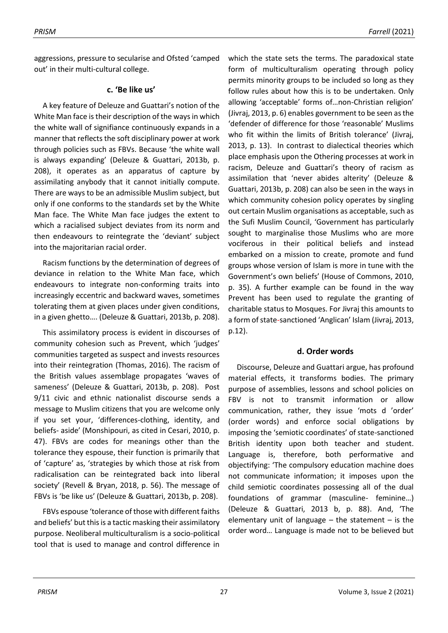aggressions, pressure to secularise and Ofsted 'camped out' in their multi-cultural college.

### **c. 'Be like us'**

A key feature of Deleuze and Guattari's notion of the White Man face is their description of the ways in which the white wall of signifiance continuously expands in a manner that reflects the soft disciplinary power at work through policies such as FBVs. Because 'the white wall is always expanding' (Deleuze & Guattari, 2013b, p. 208), it operates as an apparatus of capture by assimilating anybody that it cannot initially compute. There are ways to be an admissible Muslim subject, but only if one conforms to the standards set by the White Man face. The White Man face judges the extent to which a racialised subject deviates from its norm and then endeavours to reintegrate the 'deviant' subject into the majoritarian racial order.

Racism functions by the determination of degrees of deviance in relation to the White Man face, which endeavours to integrate non-conforming traits into increasingly eccentric and backward waves, sometimes tolerating them at given places under given conditions, in a given ghetto…. (Deleuze & Guattari, 2013b, p. 208).

This assimilatory process is evident in discourses of community cohesion such as Prevent, which 'judges' communities targeted as suspect and invests resources into their reintegration (Thomas, 2016). The racism of the British values assemblage propagates 'waves of sameness' (Deleuze & Guattari, 2013b, p. 208). Post 9/11 civic and ethnic nationalist discourse sends a message to Muslim citizens that you are welcome only if you set your, 'differences-clothing, identity, and beliefs- aside' (Monshipouri, as cited in Cesari, 2010, p. 47). FBVs are codes for meanings other than the tolerance they espouse, their function is primarily that of 'capture' as, 'strategies by which those at risk from radicalisation can be reintegrated back into liberal society' (Revell & Bryan, 2018, p. 56). The message of FBVs is 'be like us' (Deleuze & Guattari, 2013b, p. 208).

FBVs espouse 'tolerance of those with different faiths and beliefs' but this is a tactic masking their assimilatory purpose. Neoliberal multiculturalism is a socio-political tool that is used to manage and control difference in

which the state sets the terms. The paradoxical state form of multiculturalism operating through policy permits minority groups to be included so long as they follow rules about how this is to be undertaken. Only allowing 'acceptable' forms of…non-Christian religion' (Jivraj, 2013, p. 6) enables government to be seen as the 'defender of difference for those 'reasonable' Muslims who fit within the limits of British tolerance' (Jivraj, 2013, p. 13). In contrast to dialectical theories which place emphasis upon the Othering processes at work in racism, Deleuze and Guattari's theory of racism as assimilation that 'never abides alterity' (Deleuze & Guattari, 2013b, p. 208) can also be seen in the ways in which community cohesion policy operates by singling out certain Muslim organisations as acceptable, such as the Sufi Muslim Council, 'Government has particularly sought to marginalise those Muslims who are more vociferous in their political beliefs and instead embarked on a mission to create, promote and fund groups whose version of Islam is more in tune with the Government's own beliefs' (House of Commons, 2010, p. 35). A further example can be found in the way Prevent has been used to regulate the granting of charitable status to Mosques. For Jivraj this amounts to a form of state-sanctioned 'Anglican' Islam (Jivraj, 2013, p.12).

### **d. Order words**

Discourse, Deleuze and Guattari argue, has profound material effects, it transforms bodies. The primary purpose of assemblies, lessons and school policies on FBV is not to transmit information or allow communication, rather, they issue 'mots d 'order' (order words) and enforce social obligations by imposing the 'semiotic coordinates' of state-sanctioned British identity upon both teacher and student. Language is, therefore, both performative and objectifying: 'The compulsory education machine does not communicate information; it imposes upon the child semiotic coordinates possessing all of the dual foundations of grammar (masculine- feminine…) (Deleuze & Guattari, 2013 b, p. 88). And, 'The elementary unit of language  $-$  the statement  $-$  is the order word… Language is made not to be believed but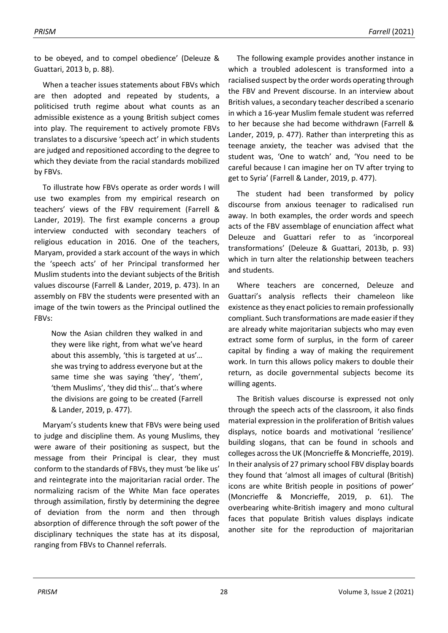to be obeyed, and to compel obedience' (Deleuze & Guattari, 2013 b, p. 88).

When a teacher issues statements about FBVs which are then adopted and repeated by students, a politicised truth regime about what counts as an admissible existence as a young British subject comes into play. The requirement to actively promote FBVs translates to a discursive 'speech act' in which students are judged and repositioned according to the degree to which they deviate from the racial standards mobilized by FBVs.

To illustrate how FBVs operate as order words I will use two examples from my empirical research on teachers' views of the FBV requirement (Farrell & Lander, 2019). The first example concerns a group interview conducted with secondary teachers of religious education in 2016. One of the teachers, Maryam, provided a stark account of the ways in which the 'speech acts' of her Principal transformed her Muslim students into the deviant subjects of the British values discourse (Farrell & Lander, 2019, p. 473). In an assembly on FBV the students were presented with an image of the twin towers as the Principal outlined the FBVs:

Now the Asian children they walked in and they were like right, from what we've heard about this assembly, 'this is targeted at us'… she was trying to address everyone but at the same time she was saying 'they', 'them', 'them Muslims', 'they did this'… that's where the divisions are going to be created (Farrell & Lander, 2019, p. 477).

Maryam's students knew that FBVs were being used to judge and discipline them. As young Muslims, they were aware of their positioning as suspect, but the message from their Principal is clear, they must conform to the standards of FBVs, they must 'be like us' and reintegrate into the majoritarian racial order. The normalizing racism of the White Man face operates through assimilation, firstly by determining the degree of deviation from the norm and then through absorption of difference through the soft power of the disciplinary techniques the state has at its disposal, ranging from FBVs to Channel referrals.

The following example provides another instance in which a troubled adolescent is transformed into a racialised suspect by the order words operating through the FBV and Prevent discourse. In an interview about British values, a secondary teacher described a scenario in which a 16-year Muslim female student was referred to her because she had become withdrawn (Farrell & Lander, 2019, p. 477). Rather than interpreting this as teenage anxiety, the teacher was advised that the student was, 'One to watch' and, 'You need to be careful because I can imagine her on TV after trying to get to Syria' (Farrell & Lander, 2019, p. 477).

The student had been transformed by policy discourse from anxious teenager to radicalised run away. In both examples, the order words and speech acts of the FBV assemblage of enunciation affect what Deleuze and Guattari refer to as 'incorporeal transformations' (Deleuze & Guattari, 2013b, p. 93) which in turn alter the relationship between teachers and students.

Where teachers are concerned, Deleuze and Guattari's analysis reflects their chameleon like existence as they enact policies to remain professionally compliant. Such transformations are made easier if they are already white majoritarian subjects who may even extract some form of surplus, in the form of career capital by finding a way of making the requirement work. In turn this allows policy makers to double their return, as docile governmental subjects become its willing agents.

The British values discourse is expressed not only through the speech acts of the classroom, it also finds material expression in the proliferation of British values displays, notice boards and motivational 'resilience' building slogans, that can be found in schools and colleges across the UK (Moncrieffe & Moncrieffe, 2019). In their analysis of 27 primary school FBV display boards they found that 'almost all images of cultural (British) icons are white British people in positions of power' (Moncrieffe & Moncrieffe, 2019, p. 61). The overbearing white-British imagery and mono cultural faces that populate British values displays indicate another site for the reproduction of majoritarian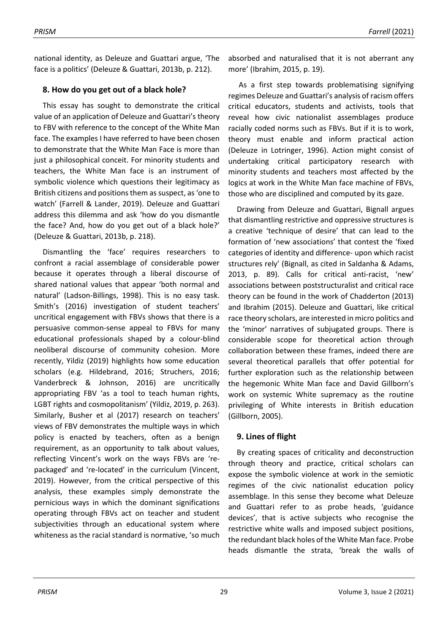national identity, as Deleuze and Guattari argue, 'The face is a politics' (Deleuze & Guattari, 2013b, p. 212).

## **8. How do you get out of a black hole?**

This essay has sought to demonstrate the critical value of an application of Deleuze and Guattari's theory to FBV with reference to the concept of the White Man face. The examples I have referred to have been chosen to demonstrate that the White Man Face is more than just a philosophical conceit. For minority students and teachers, the White Man face is an instrument of symbolic violence which questions their legitimacy as British citizens and positions them as suspect, as 'one to watch' (Farrell & Lander, 2019). Deleuze and Guattari address this dilemma and ask 'how do you dismantle the face? And, how do you get out of a black hole?' (Deleuze & Guattari, 2013b, p. 218).

Dismantling the 'face' requires researchers to confront a racial assemblage of considerable power because it operates through a liberal discourse of shared national values that appear 'both normal and natural' (Ladson-Billings, 1998). This is no easy task. Smith's (2016) investigation of student teachers' uncritical engagement with FBVs shows that there is a persuasive common-sense appeal to FBVs for many educational professionals shaped by a colour-blind neoliberal discourse of community cohesion. More recently, Yildiz (2019) highlights how some education scholars (e.g. Hildebrand, 2016; Struchers, 2016; Vanderbreck & Johnson, 2016) are uncritically appropriating FBV 'as a tool to teach human rights, LGBT rights and cosmopolitanism' (Yildiz, 2019, p. 263). Similarly, Busher et al (2017) research on teachers' views of FBV demonstrates the multiple ways in which policy is enacted by teachers, often as a benign requirement, as an opportunity to talk about values, reflecting Vincent's work on the ways FBVs are 'repackaged' and 're-located' in the curriculum (Vincent, 2019). However, from the critical perspective of this analysis, these examples simply demonstrate the pernicious ways in which the dominant significations operating through FBVs act on teacher and student subjectivities through an educational system where whiteness as the racial standard is normative, 'so much

absorbed and naturalised that it is not aberrant any more' (Ibrahim, 2015, p. 19).

As a first step towards problematising signifying regimes Deleuze and Guattari's analysis of racism offers critical educators, students and activists, tools that reveal how civic nationalist assemblages produce racially coded norms such as FBVs. But if it is to work, theory must enable and inform practical action (Deleuze in Lotringer, 1996). Action might consist of undertaking critical participatory research with minority students and teachers most affected by the logics at work in the White Man face machine of FBVs, those who are disciplined and computed by its gaze.

Drawing from Deleuze and Guattari, Bignall argues that dismantling restrictive and oppressive structures is a creative 'technique of desire' that can lead to the formation of 'new associations' that contest the 'fixed categories of identity and difference- upon which racist structures rely' (Bignall, as cited in Saldanha & Adams, 2013, p. 89). Calls for critical anti-racist, 'new' associations between poststructuralist and critical race theory can be found in the work of Chadderton (2013) and Ibrahim (2015). Deleuze and Guattari, like critical race theory scholars, are interested in micro politics and the 'minor' narratives of subjugated groups. There is considerable scope for theoretical action through collaboration between these frames, indeed there are several theoretical parallels that offer potential for further exploration such as the relationship between the hegemonic White Man face and David Gillborn's work on systemic White supremacy as the routine privileging of White interests in British education (Gillborn, 2005).

# **9. Lines of flight**

By creating spaces of criticality and deconstruction through theory and practice, critical scholars can expose the symbolic violence at work in the semiotic regimes of the civic nationalist education policy assemblage. In this sense they become what Deleuze and Guattari refer to as probe heads, 'guidance devices', that is active subjects who recognise the restrictive white walls and imposed subject positions, the redundant black holes of the White Man face. Probe heads dismantle the strata, 'break the walls of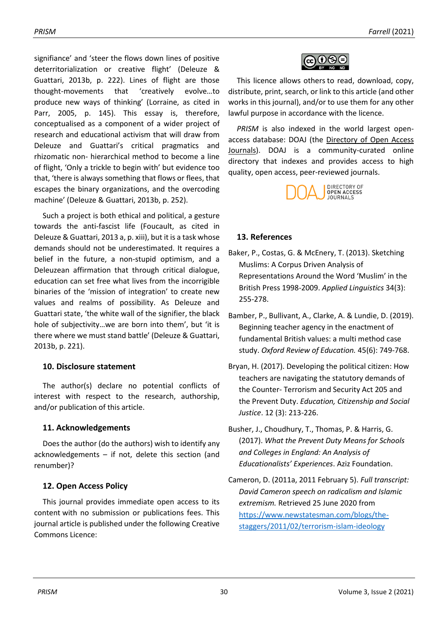signifiance' and 'steer the flows down lines of positive deterritorialization or creative flight' (Deleuze & Guattari, 2013b, p. 222). Lines of flight are those thought-movements that 'creatively evolve…to produce new ways of thinking' (Lorraine, as cited in Parr, 2005, p. 145). This essay is, therefore, conceptualised as a component of a wider project of research and educational activism that will draw from Deleuze and Guattari's critical pragmatics and rhizomatic non- hierarchical method to become a line of flight, 'Only a trickle to begin with' but evidence too that, 'there is always something that flows or flees, that escapes the binary organizations, and the overcoding machine' (Deleuze & Guattari, 2013b, p. 252).

Such a project is both ethical and political, a gesture towards the anti-fascist life (Foucault, as cited in Deleuze & Guattari, 2013 a, p. xiii), but it is a task whose demands should not be underestimated. It requires a belief in the future, a non-stupid optimism, and a Deleuzean affirmation that through critical dialogue, education can set free what lives from the incorrigible binaries of the 'mission of integration' to create new values and realms of possibility. As Deleuze and Guattari state, 'the white wall of the signifier, the black hole of subjectivity…we are born into them', but 'it is there where we must stand battle' (Deleuze & Guattari, 2013b, p. 221).

# **10. Disclosure statement**

The author(s) declare no potential conflicts of interest with respect to the research, authorship, and/or publication of this article.

# **11. Acknowledgements**

Does the author (do the authors) wish to identify any acknowledgements – if not, delete this section (and renumber)?

# **12. Open Access Policy**

This journal provides immediate open access to its content with no submission or publications fees. This journal article is published under the following Creative Commons Licence:



This licence allows others to read, download, copy, distribute, print, search, or link to this article (and other works in this journal), and/or to use them for any other lawful purpose in accordance with the licence.

*PRISM* is also indexed in the world largest openaccess database: DOAJ (the [Directory of Open Access](https://doaj.org/toc/2514-5347?source=%7B%22query%22%3A%7B%22filtered%22%3A%7B%22filter%22%3A%7B%22bool%22%3A%7B%22must%22%3A%5B%7B%22terms%22%3A%7B%22index.issn.exact%22%3A%5B%222514-5347%22%5D%7D%7D%2C%7B%22term%22%3A%7B%22_type%22%3A%22article%22%7D%7D%5D%7D%7D%2C%22query%22%3A%7B%22match_all%22%3A%7B%7D%7D%7D%7D%2C%22size%22%3A100%2C%22_source%22%3A%7B%7D%7D)  [Journals\)](https://doaj.org/toc/2514-5347?source=%7B%22query%22%3A%7B%22filtered%22%3A%7B%22filter%22%3A%7B%22bool%22%3A%7B%22must%22%3A%5B%7B%22terms%22%3A%7B%22index.issn.exact%22%3A%5B%222514-5347%22%5D%7D%7D%2C%7B%22term%22%3A%7B%22_type%22%3A%22article%22%7D%7D%5D%7D%7D%2C%22query%22%3A%7B%22match_all%22%3A%7B%7D%7D%7D%7D%2C%22size%22%3A100%2C%22_source%22%3A%7B%7D%7D). DOAJ is a community-curated online directory that indexes and provides access to high quality, open access, peer-reviewed journals.



# **13. References**

- Baker, P., Costas, G. & McEnery, T. (2013). Sketching Muslims: A Corpus Driven Analysis of Representations Around the Word 'Muslim' in the British Press 1998-2009. *Applied Linguistics* 34(3): 255-278.
- Bamber, P., Bullivant, A., Clarke, A. & Lundie, D. (2019). Beginning teacher agency in the enactment of fundamental British values: a multi method case study. *Oxford Review of Education.* 45(6): 749-768.
- Bryan, H. (2017). Developing the political citizen: How teachers are navigating the statutory demands of the Counter- Terrorism and Security Act 205 and the Prevent Duty. *Education, Citizenship and Social Justice*. 12 (3): 213-226.
- Busher, J., Choudhury, T., Thomas, P. & Harris, G. (2017). *What the Prevent Duty Means for Schools and Colleges in England: An Analysis of Educationalists' Experiences*. Aziz Foundation.
- Cameron, D. (2011a, 2011 February 5). *Full transcript: David Cameron speech on radicalism and Islamic extremism.* Retrieved 25 June 2020 from [https://www.newstatesman.com/blogs/the](https://www.newstatesman.com/blogs/the-staggers/2011/02/terrorism-islam-ideology)[staggers/2011/02/terrorism-islam-ideology](https://www.newstatesman.com/blogs/the-staggers/2011/02/terrorism-islam-ideology)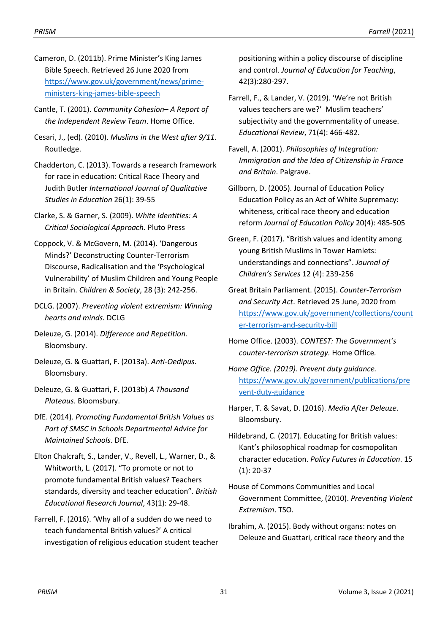- Cameron, D. (2011b). Prime Minister's King James Bible Speech. Retrieved 26 June 2020 from [https://www.gov.uk/government/news/prime](https://www.gov.uk/government/news/prime-ministers-king-james-bible-speech)[ministers-king-james-bible-speech](https://www.gov.uk/government/news/prime-ministers-king-james-bible-speech)
- Cantle, T. (2001). *Community Cohesion– A Report of the Independent Review Team*. Home Office.
- Cesari, J., (ed). (2010). *Muslims in the West after 9/11*. Routledge.
- Chadderton, C. (2013). Towards a research framework for race in education: Critical Race Theory and Judith Butler *International Journal of Qualitative Studies in Education* 26(1): 39-55
- Clarke, S. & Garner, S. (2009). *White Identities: A Critical Sociological Approach.* Pluto Press
- Coppock, V. & McGovern, M. (2014). 'Dangerous Minds?' Deconstructing Counter-Terrorism Discourse, Radicalisation and the 'Psychological Vulnerability' of Muslim Children and Young People in Britain. *Children & Society*, 28 (3): 242-256.
- DCLG. (2007). *Preventing violent extremism: Winning hearts and minds.* DCLG
- Deleuze, G. (2014). *Difference and Repetition.* Bloomsbury.
- Deleuze, G. & Guattari, F. (2013a). *Anti-Oedipus*. Bloomsbury.
- Deleuze, G. & Guattari, F. (2013b) *A Thousand Plateaus*. Bloomsbury.
- DfE. (2014). *Promoting Fundamental British Values as Part of SMSC in Schools Departmental Advice for Maintained Schools*. DfE.
- Elton Chalcraft, S., Lander, V., Revell, L., Warner, D., & Whitworth, L. (2017). "To promote or not to promote fundamental British values? Teachers standards, diversity and teacher education". *British Educational Research Journal*, 43(1): 29-48.
- Farrell, F. (2016). 'Why all of a sudden do we need to teach fundamental British values?' A critical investigation of religious education student teacher

positioning within a policy discourse of discipline and control. *Journal of Education for Teaching*, 42(3):280-297.

- Farrell, F., & Lander, V. (2019). 'We're not British values teachers are we?' Muslim teachers' subjectivity and the governmentality of unease. *Educational Review*, 71(4): 466-482.
- Favell, A. (2001). *Philosophies of Integration: Immigration and the Idea of Citizenship in France and Britain*. Palgrave.
- Gillborn, D. (2005). Journal of Education Policy Education Policy as an Act of White Supremacy: whiteness, critical race theory and education reform *Journal of Education Policy* 20(4): 485-505
- Green, F. (2017). "British values and identity among young British Muslims in Tower Hamlets: understandings and connections". *Journal of Children's Services* 12 (4): 239-256
- Great Britain Parliament. (2015). *Counter-Terrorism and Security Act*. Retrieved 25 June, 2020 from [https://www.gov.uk/government/collections/count](https://www.gov.uk/government/collections/counter-terrorism-and-security-bill) [er-terrorism-and-security-bill](https://www.gov.uk/government/collections/counter-terrorism-and-security-bill)
- Home Office. (2003). *CONTEST: The Government's counter-terrorism strategy.* Home Office*.*
- *Home Office. (2019). Prevent duty guidance.*  [https://www.gov.uk/government/publications/pre](https://www.gov.uk/government/publications/prevent-duty-guidance) [vent-duty-guidance](https://www.gov.uk/government/publications/prevent-duty-guidance)
- Harper, T. & Savat, D. (2016). *Media After Deleuze*. Bloomsbury.
- Hildebrand, C. (2017). Educating for British values: Kant's philosophical roadmap for cosmopolitan character education. *Policy Futures in Education*. 15 (1): 20-37
- House of Commons Communities and Local Government Committee, (2010). *Preventing Violent Extremism*. TSO.
- Ibrahim, A. (2015). Body without organs: notes on Deleuze and Guattari, critical race theory and the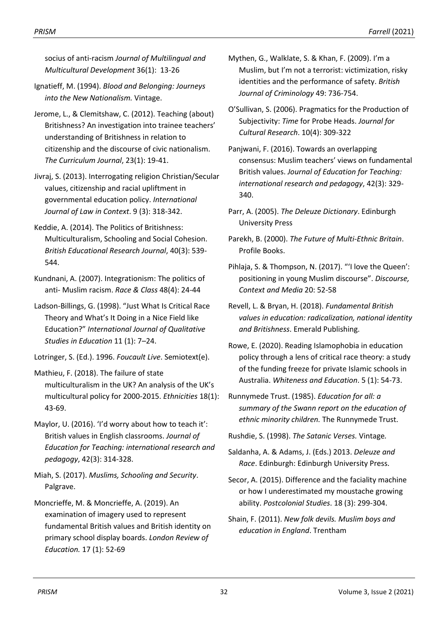socius of anti-racism *Journal of Multilingual and Multicultural Development* 36(1): 13-26

- Ignatieff, M. (1994). *Blood and Belonging: Journeys into the New Nationalism.* Vintage.
- Jerome, L., & Clemitshaw, C. (2012). Teaching (about) Britishness? An investigation into trainee teachers' understanding of Britishness in relation to citizenship and the discourse of civic nationalism. *The Curriculum Journal*, 23(1): 19-41.
- Jivraj, S. (2013). Interrogating religion Christian/Secular values, citizenship and racial upliftment in governmental education policy. *International Journal of Law in Context*. 9 (3): 318-342.
- Keddie, A. (2014). The Politics of Britishness: Multiculturalism, Schooling and Social Cohesion. *British Educational Research Journal*, 40(3): 539- 544.
- Kundnani, A. (2007). Integrationism: The politics of anti- Muslim racism. *Race & Class* 48(4): 24-44
- Ladson-Billings, G. (1998). "Just What Is Critical Race Theory and What's It Doing in a Nice Field like Education?" *International Journal of Qualitative Studies in Education* 11 (1): 7–24.
- Lotringer, S. (Ed.). 1996. *Foucault Live*. Semiotext(e).
- Mathieu, F. (2018). The failure of state multiculturalism in the UK? An analysis of the UK's multicultural policy for 2000-2015. *Ethnicities* 18(1): 43-69.
- Maylor, U. (2016). 'I'd worry about how to teach it': British values in English classrooms. *Journal of Education for Teaching: international research and pedagogy*, 42(3): 314-328.
- Miah, S. (2017). *Muslims, Schooling and Security*. Palgrave.
- Moncrieffe, M. & Moncrieffe, A. (2019). An examination of imagery used to represent fundamental British values and British identity on primary school display boards. *London Review of Education.* 17 (1): 52-69
- Mythen, G., Walklate, S. & Khan, F. (2009). I'm a Muslim, but I'm not a terrorist: victimization, risky identities and the performance of safety. *British Journal of Criminology* 49: 736-754.
- O'Sullivan, S. (2006). Pragmatics for the Production of Subjectivity: *Time* for Probe Heads. *Journal for Cultural Research*. 10(4): 309-322
- Panjwani, F. (2016). Towards an overlapping consensus: Muslim teachers' views on fundamental British values. *Journal of Education for Teaching: international research and pedagogy*, 42(3): 329- 340.
- Parr, A. (2005). *The Deleuze Dictionary*. Edinburgh University Press
- Parekh, B. (2000). *The Future of Multi-Ethnic Britain*. Profile Books.
- Pihlaja, S. & Thompson, N. (2017). "'I love the Queen': positioning in young Muslim discourse". *Discourse, Context and Media* 20: 52-58
- Revell, L. & Bryan, H. (2018). *Fundamental British values in education: radicalization, national identity and Britishness*. Emerald Publishing.
- Rowe, E. (2020). Reading Islamophobia in education policy through a lens of critical race theory: a study of the funding freeze for private Islamic schools in Australia. *Whiteness and Education*. 5 (1): 54-73.
- Runnymede Trust. (1985). *Education for all: a summary of the Swann report on the education of ethnic minority children.* The Runnymede Trust.
- Rushdie, S. (1998). *The Satanic Verses.* Vintage*.*
- Saldanha, A. & Adams, J. (Eds.) 2013. *Deleuze and Race*. Edinburgh: Edinburgh University Press.
- Secor, A. (2015). Difference and the faciality machine or how I underestimated my moustache growing ability. *Postcolonial Studies*. 18 (3): 299-304.
- Shain, F. (2011). *New folk devils. Muslim boys and education in England*. Trentham